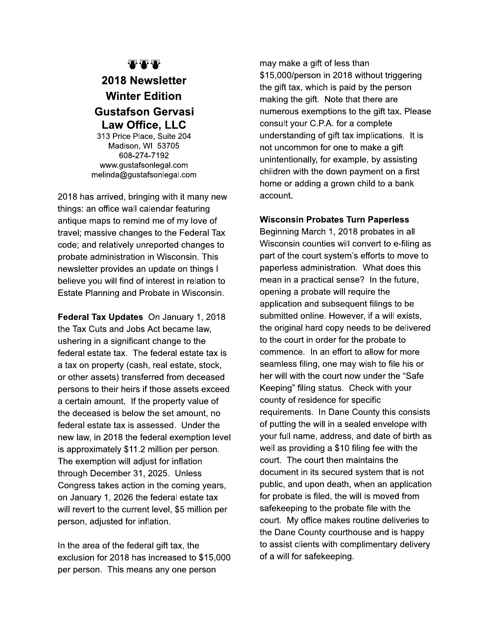## ₩₩₩

## 2018 Newsletter **Winter Edition Gustafson Gervasi Law Office, LLC**

313 Price Place, Suite 204 Madison, WI 53705 608-274-7192 www.gustafsonlegal.com melinda@gustafsonlegal.com

2018 has arrived, bringing with it many new things: an office wall calendar featuring antique maps to remind me of my love of travel; massive changes to the Federal Tax code; and relatively unreported changes to probate administration in Wisconsin. This newsletter provides an update on things I believe you will find of interest in relation to Estate Planning and Probate in Wisconsin.

Federal Tax Updates On January 1, 2018 the Tax Cuts and Jobs Act became law, ushering in a significant change to the federal estate tax. The federal estate tax is a tax on property (cash, real estate, stock, or other assets) transferred from deceased persons to their heirs if those assets exceed a certain amount. If the property value of the deceased is below the set amount, no federal estate tax is assessed. Under the new law, in 2018 the federal exemption level is approximately \$11.2 million per person. The exemption will adjust for inflation through December 31, 2025. Unless Congress takes action in the coming years, on January 1, 2026 the federal estate tax will revert to the current level, \$5 million per person, adjusted for inflation.

In the area of the federal gift tax, the exclusion for 2018 has increased to \$15,000 per person. This means any one person

may make a gift of less than \$15,000/person in 2018 without triggering the gift tax, which is paid by the person making the gift. Note that there are numerous exemptions to the gift tax. Please consult your C.P.A. for a complete understanding of gift tax implications. It is not uncommon for one to make a gift unintentionally, for example, by assisting children with the down payment on a first home or adding a grown child to a bank account.

## **Wisconsin Probates Turn Paperless**

Beginning March 1, 2018 probates in all Wisconsin counties will convert to e-filing as part of the court system's efforts to move to paperless administration. What does this mean in a practical sense? In the future, opening a probate will require the application and subsequent filings to be submitted online. However, if a will exists, the original hard copy needs to be delivered to the court in order for the probate to commence. In an effort to allow for more seamless filing, one may wish to file his or her will with the court now under the "Safe" Keeping" filing status. Check with your county of residence for specific requirements. In Dane County this consists of putting the will in a sealed envelope with your full name, address, and date of birth as well as providing a \$10 filing fee with the court. The court then maintains the document in its secured system that is not public, and upon death, when an application for probate is filed, the will is moved from safekeeping to the probate file with the court. My office makes routine deliveries to the Dane County courthouse and is happy to assist clients with complimentary delivery of a will for safekeeping.